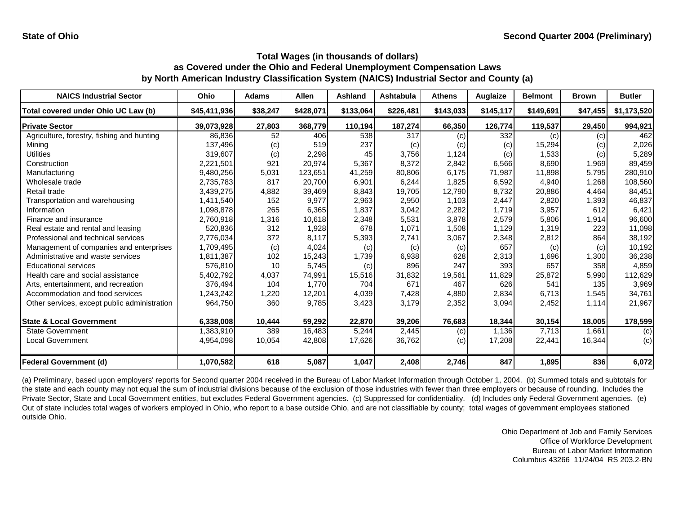| <b>NAICS Industrial Sector</b>               | Ohio         | <b>Adams</b> | Allen     | Ashland   | Ashtabula | <b>Athens</b> | Auglaize  | <b>Belmont</b> | <b>Brown</b> | <b>Butler</b> |
|----------------------------------------------|--------------|--------------|-----------|-----------|-----------|---------------|-----------|----------------|--------------|---------------|
| Total covered under Ohio UC Law (b)          | \$45,411,936 | \$38,247     | \$428,071 | \$133,064 | \$226,481 | \$143,033     | \$145,117 | \$149,691      | \$47,455     | \$1,173,520   |
| <b>Private Sector</b>                        | 39,073,928   | 27,803       | 368,779   | 110,194   | 187,274   | 66,350        | 126,774   | 119,537        | 29,450       | 994,921       |
| Agriculture, forestry, fishing and hunting   | 86,836       | 52           | 406       | 538       | 317       | (c)           | 332       | (c)            | (c)          | 462           |
| Mining                                       | 137,496      | (c)          | 519       | 237       | (c)       | (c)           | (c)       | 15,294         | (c)          | 2,026         |
| <b>Utilities</b>                             | 319,607      | (c)          | 2,298     | 45        | 3,756     | 1,124         | (c)       | 1,533          | (c)          | 5,289         |
| Construction                                 | 2,221,501    | 921          | 20,974    | 5,367     | 8,372     | 2,842         | 6,566     | 8,690          | 1,969        | 89,459        |
| Manufacturing                                | 9,480,256    | 5,031        | 123,651   | 41,259    | 80,806    | 6.175         | 71,987    | 11,898         | 5,795        | 280,910       |
| Wholesale trade                              | 2,735,783    | 817          | 20,700    | 6,901     | 6,244     | 1,825         | 6,592     | 4,940          | 1,268        | 108,560       |
| Retail trade                                 | 3,439,275    | 4,882        | 39,469    | 8,843     | 19,705    | 12,790        | 8,732     | 20,886         | 4.464        | 84,451        |
| Transportation and warehousing               | 1,411,540    | 152          | 9,977     | 2,963     | 2,950     | 1,103         | 2,447     | 2,820          | 1,393        | 46,837        |
| Information                                  | 1,098,878    | 265          | 6,365     | 1,837     | 3,042     | 2,282         | 1,719     | 3,957          | 612          | 6,421         |
| Finance and insurance                        | 2,760,918    | 1,316        | 10,618    | 2,348     | 5,531     | 3,878         | 2,579     | 5,806          | 1,914        | 96,600        |
| Real estate and rental and leasing           | 520,836      | 312          | 1,928     | 678       | 1,071     | 1,508         | 1,129     | 1,319          | 223          | 11,098        |
| Professional and technical services          | 2,776,034    | 372          | 8,117     | 5,393     | 2,741     | 3,067         | 2,348     | 2,812          | 864          | 38,192        |
| Management of companies and enterprises      | 1,709,495    | (c)          | 4,024     | (c)       | (c)       | (c)           | 657       | (c)            | (c)          | 10,192        |
| Administrative and waste services            | 1,811,387    | 102          | 15,243    | 1,739     | 6,938     | 628           | 2,313     | 1,696          | 1,300        | 36,238        |
| <b>Educational services</b>                  | 576,810      | 10           | 5,745     | (c)       | 896       | 247           | 393       | 657            | 358          | 4,859         |
| Health care and social assistance            | 5,402,792    | 4,037        | 74,991    | 15,516    | 31,832    | 19,561        | 11,829    | 25,872         | 5,990        | 112,629       |
| Arts, entertainment, and recreation          | 376,494      | 104          | 1,770     | 704       | 671       | 467           | 626       | 541            | 135          | 3,969         |
| Accommodation and food services              | 1,243,242    | 1,220        | 12,201    | 4,039     | 7,428     | 4,880         | 2,834     | 6,713          | 1,545        | 34,761        |
| Other services, except public administration | 964,750      | 360          | 9,785     | 3,423     | 3,179     | 2,352         | 3,094     | 2,452          | 1,114        | 21,967        |
| <b>State &amp; Local Government</b>          | 6,338,008    | 10,444       | 59,292    | 22,870    | 39,206    | 76,683        | 18,344    | 30,154         | 18,005       | 178,599       |
| <b>State Government</b>                      | 1,383,910    | 389          | 16,483    | 5,244     | 2,445     | (c)           | 1,136     | 7,713          | 1,661        | (c)           |
| <b>Local Government</b>                      | 4,954,098    | 10,054       | 42,808    | 17,626    | 36,762    | (c)           | 17,208    | 22,441         | 16,344       | (c)           |
| <b>Federal Government (d)</b>                | 1,070,582    | 618          | 5,087     | 1,047     | 2,408     | 2,746         | 847       | 1,895          | 836          | 6,072         |

(a) Preliminary, based upon employers' reports for Second quarter 2004 received in the Bureau of Labor Market Information through October 1, 2004. (b) Summed totals and subtotals for the state and each county may not equal the sum of industrial divisions because of the exclusion of those industries with fewer than three employers or because of rounding. Includes the Private Sector, State and Local Government entities, but excludes Federal Government agencies. (c) Suppressed for confidentiality. (d) Includes only Federal Government agencies. (e) Out of state includes total wages of workers employed in Ohio, who report to a base outside Ohio, and are not classifiable by county; total wages of government employees stationed outside Ohio.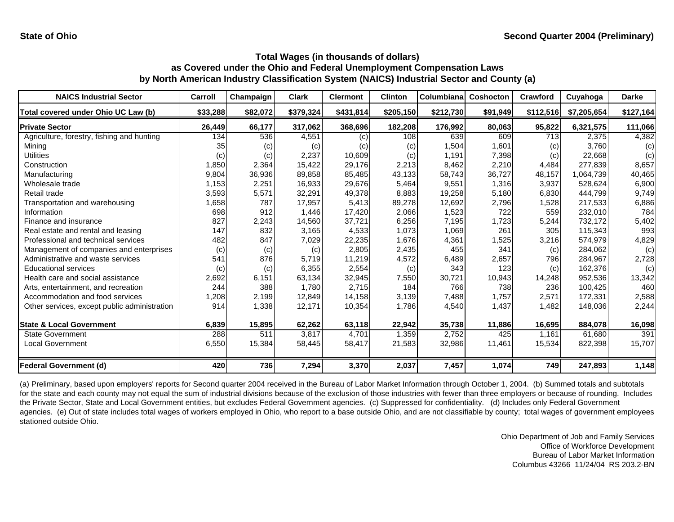| <b>NAICS Industrial Sector</b>               | Carroll  | Champaign | <b>Clark</b> | <b>Clermont</b> | <b>Clinton</b> | Columbiana | <b>Coshocton</b> | Crawford  | Cuyahoga    | <b>Darke</b> |
|----------------------------------------------|----------|-----------|--------------|-----------------|----------------|------------|------------------|-----------|-------------|--------------|
| Total covered under Ohio UC Law (b)          | \$33,288 | \$82,072  | \$379,324    | \$431,814       | \$205,150      | \$212,730  | \$91,949         | \$112,516 | \$7,205,654 | \$127,164    |
| <b>Private Sector</b>                        | 26,449   | 66,177    | 317,062      | 368,696         | 182,208        | 176,992    | 80,063           | 95,822    | 6,321,575   | 111,066      |
| Agriculture, forestry, fishing and hunting   | 134      | 536       | 4,551        | (c)             | 108            | 639        | 609              | 713       | 2,375       | 4,382        |
| Mining                                       | 35       | (c)       | (c)          | (c)             | (c)            | 1,504      | 1,601            | (c)       | 3,760       | (c)          |
| Utilities                                    | (c)      | (c)       | 2,237        | 10,609          | (c)            | 1,191      | 7,398            | (c)       | 22,668      | (c)          |
| Construction                                 | 1,850    | 2,364     | 15,422       | 29,176          | 2,213          | 8,462      | 2,210            | 4,484     | 277,839     | 8,657        |
| Manufacturing                                | 9,804    | 36,936    | 89,858       | 85,485          | 43,133         | 58,743     | 36,727           | 48,157    | 1,064,739   | 40,465       |
| Wholesale trade                              | 1,153    | 2,251     | 16,933       | 29,676          | 5,464          | 9,551      | 1,316            | 3,937     | 528,624     | 6,900        |
| Retail trade                                 | 3,593    | 5,571     | 32,291       | 49,378          | 8,883          | 19,258     | 5,180            | 6,830     | 444.799     | 9,749        |
| Transportation and warehousing               | 1,658    | 787       | 17,957       | 5,413           | 89,278         | 12,692     | 2,796            | 1,528     | 217,533     | 6,886        |
| Information                                  | 698      | 912       | 1,446        | 17,420          | 2,066          | 1,523      | 722              | 559       | 232,010     | 784          |
| Finance and insurance                        | 827      | 2,243     | 14,560       | 37,721          | 6,256          | 7,195      | 1,723            | 5,244     | 732,172     | 5,402        |
| Real estate and rental and leasing           | 147      | 832       | 3,165        | 4,533           | 1,073          | 1,069      | 261              | 305       | 115,343     | 993          |
| Professional and technical services          | 482      | 847       | 7,029        | 22,235          | 1,676          | 4,361      | 1,525            | 3,216     | 574,979     | 4,829        |
| Management of companies and enterprises      | (c)      | (c)       | (c)          | 2,805           | 2,435          | 455        | 341              | (c)       | 284,062     | (c)          |
| Administrative and waste services            | 541      | 876       | 5,719        | 11,219          | 4,572          | 6,489      | 2,657            | 796       | 284,967     | 2,728        |
| <b>Educational services</b>                  | (c)      | (c)       | 6,355        | 2,554           | (c)            | 343        | 123              | (c)       | 162,376     | (c)          |
| Health care and social assistance            | 2,692    | 6,151     | 63,134       | 32,945          | 7,550          | 30,721     | 10,943           | 14,248    | 952,536     | 13,342       |
| Arts, entertainment, and recreation          | 244      | 388       | 1,780        | 2,715           | 184            | 766        | 738              | 236       | 100,425     | 460          |
| Accommodation and food services              | ,208     | 2,199     | 12,849       | 14,158          | 3,139          | 7,488      | 1.757            | 2,571     | 172,331     | 2,588        |
| Other services, except public administration | 914      | 1,338     | 12,171       | 10,354          | 1,786          | 4,540      | 1,437            | 1,482     | 148,036     | 2,244        |
| <b>State &amp; Local Government</b>          | 6,839    | 15,895    | 62,262       | 63,118          | 22,942         | 35,738     | 11,886           | 16,695    | 884,078     | 16,098       |
| <b>State Government</b>                      | 288      | 511       | 3,817        | 4,701           | 1,359          | 2,752      | 425              | 1,161     | 61,680      | 391          |
| <b>Local Government</b>                      | 6,550    | 15,384    | 58,445       | 58,417          | 21,583         | 32,986     | 11,461           | 15,534    | 822,398     | 15,707       |
| <b>Federal Government (d)</b>                | 420      | 736       | 7,294        | 3,370           | 2,037          | 7,457      | 1,074            | 749       | 247,893     | 1,148        |

(a) Preliminary, based upon employers' reports for Second quarter 2004 received in the Bureau of Labor Market Information through October 1, 2004. (b) Summed totals and subtotals for the state and each county may not equal the sum of industrial divisions because of the exclusion of those industries with fewer than three employers or because of rounding. Includes the Private Sector, State and Local Government entities, but excludes Federal Government agencies. (c) Suppressed for confidentiality. (d) Includes only Federal Government agencies. (e) Out of state includes total wages of workers employed in Ohio, who report to a base outside Ohio, and are not classifiable by county; total wages of government employees stationed outside Ohio.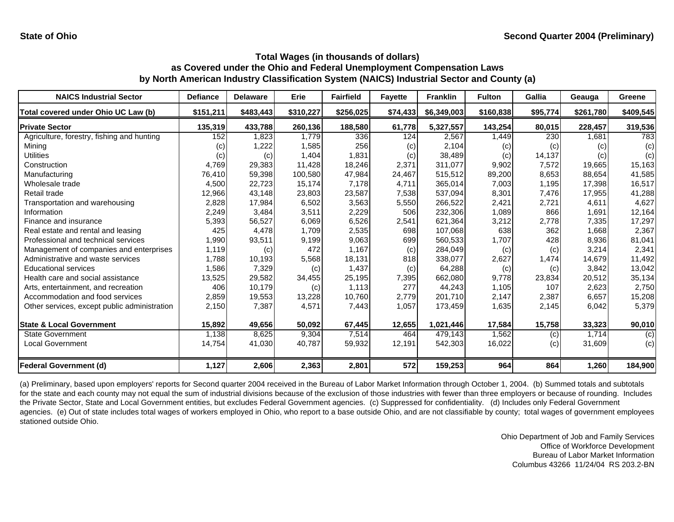| <b>NAICS Industrial Sector</b>               | <b>Defiance</b> | <b>Delaware</b> | Erie      | <b>Fairfield</b> | <b>Fayette</b> | <b>Franklin</b> | <b>Fulton</b> | <b>Gallia</b> | Geauga    | Greene    |
|----------------------------------------------|-----------------|-----------------|-----------|------------------|----------------|-----------------|---------------|---------------|-----------|-----------|
| Total covered under Ohio UC Law (b)          | \$151,211       | \$483,443       | \$310,227 | \$256,025        | \$74,433       | \$6,349,003     | \$160,838     | \$95,774      | \$261,780 | \$409,545 |
| <b>Private Sector</b>                        | 135,319         | 433,788         | 260,136   | 188,580          | 61,778         | 5,327,557       | 143,254       | 80,015        | 228,457   | 319,536   |
| Agriculture, forestry, fishing and hunting   | 152             | 1.823           | 1,779     | 336              | 124            | 2,567           | 1,449         | 230           | 1,681     | 783       |
| Minina                                       | (c)             | 1,222           | 1,585     | 256              | (c)            | 2.104           | (c)           | (c)           | (c)       | (c)       |
| Utilities                                    | (c)             | (c)             | 1,404     | 1,831            | (c)            | 38,489          | (c)           | 14,137        | (c)       | (c)       |
| Construction                                 | 4,769           | 29,383          | 11,428    | 18,246           | 2,371          | 311,077         | 9,902         | 7,572         | 19,665    | 15,163    |
| Manufacturing                                | 76,410          | 59,398          | 100,580   | 47,984           | 24,467         | 515,512         | 89,200        | 8,653         | 88,654    | 41,585    |
| Wholesale trade                              | 4,500           | 22,723          | 15,174    | 7,178            | 4,711          | 365,014         | 7,003         | 1,195         | 17,398    | 16,517    |
| Retail trade                                 | 12,966          | 43,148          | 23,803    | 23,587           | 7,538          | 537,094         | 8,301         | 7,476         | 17,955    | 41,288    |
| Transportation and warehousing               | 2,828           | 17,984          | 6,502     | 3,563            | 5,550          | 266,522         | 2,421         | 2,721         | 4,611     | 4,627     |
| Information                                  | 2,249           | 3,484           | 3,511     | 2,229            | 506            | 232,306         | 1,089         | 866           | 1.691     | 12,164    |
| Finance and insurance                        | 5,393           | 56,527          | 6,069     | 6,526            | 2,541          | 621,364         | 3,212         | 2,778         | 7,335     | 17,297    |
| Real estate and rental and leasing           | 425             | 4.478           | 1,709     | 2,535            | 698            | 107,068         | 638           | 362           | 1.668     | 2,367     |
| Professional and technical services          | 1,990           | 93,511          | 9,199     | 9,063            | 699            | 560,533         | 1,707         | 428           | 8,936     | 81,041    |
| Management of companies and enterprises      | 1,119           | (c)             | 472       | 1,167            | (c)            | 284,049         | (c)           | (c)           | 3,214     | 2,341     |
| Administrative and waste services            | 1,788           | 10,193          | 5,568     | 18,131           | 818            | 338,077         | 2,627         | 1,474         | 14,679    | 11,492    |
| <b>Educational services</b>                  | 1,586           | 7,329           | (c)       | 1,437            | (c)            | 64,288          | (c)           | (c)           | 3,842     | 13,042    |
| Health care and social assistance            | 13,525          | 29,582          | 34,455    | 25.195           | 7,395          | 662,080         | 9.778         | 23,834        | 20,512    | 35,134    |
| Arts, entertainment, and recreation          | 406             | 10,179          | (c)       | 1,113            | 277            | 44,243          | 1,105         | 107           | 2,623     | 2,750     |
| Accommodation and food services              | 2,859           | 19,553          | 13,228    | 10,760           | 2,779          | 201,710         | 2,147         | 2,387         | 6,657     | 15,208    |
| Other services, except public administration | 2,150           | 7,387           | 4,571     | 7,443            | 1,057          | 173,459         | 1,635         | 2,145         | 6,042     | 5,379     |
| <b>State &amp; Local Government</b>          | 15,892          | 49,656          | 50,092    | 67,445           | 12,655         | 1,021,446       | 17,584        | 15,758        | 33,323    | 90,010    |
| <b>State Government</b>                      | 1,138           | 8.625           | 9,304     | 7,514            | 464            | 479,143         | 1,562         | (c)           | 1.714     | (c)       |
| <b>Local Government</b>                      | 14,754          | 41,030          | 40,787    | 59,932           | 12,191         | 542,303         | 16,022        | (c)           | 31,609    | (c)       |
| <b>Federal Government (d)</b>                | 1,127           | 2,606           | 2,363     | 2,801            | 572            | 159,253         | 964           | 864           | 1,260     | 184,900   |

(a) Preliminary, based upon employers' reports for Second quarter 2004 received in the Bureau of Labor Market Information through October 1, 2004. (b) Summed totals and subtotals for the state and each county may not equal the sum of industrial divisions because of the exclusion of those industries with fewer than three employers or because of rounding. Includes the Private Sector, State and Local Government entities, but excludes Federal Government agencies. (c) Suppressed for confidentiality. (d) Includes only Federal Government agencies. (e) Out of state includes total wages of workers employed in Ohio, who report to a base outside Ohio, and are not classifiable by county; total wages of government employees stationed outside Ohio.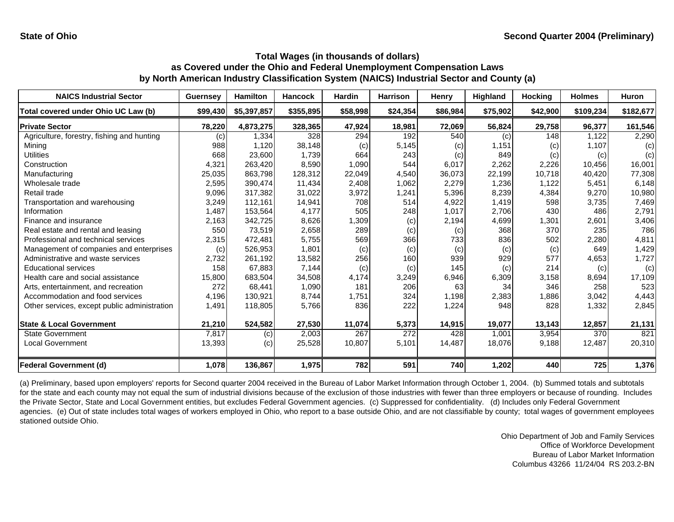| <b>NAICS Industrial Sector</b>               | <b>Guernsey</b> | Hamilton    | <b>Hancock</b> | <b>Hardin</b> | <b>Harrison</b>  | Henry    | Highland | <b>Hocking</b> | <b>Holmes</b> | <b>Huron</b> |
|----------------------------------------------|-----------------|-------------|----------------|---------------|------------------|----------|----------|----------------|---------------|--------------|
| Total covered under Ohio UC Law (b)          | \$99,430        | \$5,397,857 | \$355,895      | \$58,998      | \$24,354         | \$86,984 | \$75,902 | \$42,900       | \$109,234     | \$182,677    |
| <b>Private Sector</b>                        | 78,220          | 4,873,275   | 328,365        | 47,924        | 18,981           | 72,069   | 56,824   | 29,758         | 96,377        | 161,546      |
| Agriculture, forestry, fishing and hunting   | (c)             | 1,334       | 328            | 294           | 192              | 540      | (c)      | 148            | 1,122         | 2,290        |
| Mining                                       | 988             | 1,120       | 38,148         | (c)           | 5,145            | (c)      | 1,151    | (c)            | 1,107         | (c)          |
| <b>Utilities</b>                             | 668             | 23,600      | 1,739          | 664           | 243              | (c)      | 849      | (c)            | (c)           | (c)          |
| Construction                                 | 4,321           | 263,420     | 8,590          | 1,090         | 544              | 6,017    | 2,262    | 2,226          | 10,456        | 16,001       |
| Manufacturing                                | 25,035          | 863,798     | 128,312        | 22,049        | 4,540            | 36,073   | 22,199   | 10,718         | 40,420        | 77,308       |
| Wholesale trade                              | 2,595           | 390,474     | 11,434         | 2,408         | 1,062            | 2,279    | 1,236    | 1,122          | 5,451         | 6,148        |
| Retail trade                                 | 9,096           | 317,382     | 31,022         | 3,972         | 1,241            | 5,396    | 8,239    | 4,384          | 9,270         | 10,980       |
| Transportation and warehousing               | 3,249           | 112,161     | 14,941         | 708           | 514              | 4,922    | 1,419    | 598            | 3,735         | 7,469        |
| Information                                  | 1,487           | 153,564     | 4,177          | 505           | 248              | 1,017    | 2,706    | 430            | 486           | 2,791        |
| Finance and insurance                        | 2,163           | 342,725     | 8,626          | 1,309         | (c)              | 2,194    | 4,699    | 1,301          | 2,601         | 3,406        |
| Real estate and rental and leasing           | 550             | 73,519      | 2,658          | 289           | (c)              | (c)      | 368      | 370            | 235           | 786          |
| Professional and technical services          | 2,315           | 472,481     | 5,755          | 569           | 366              | 733      | 836      | 502            | 2,280         | 4,811        |
| Management of companies and enterprises      | (c)             | 526,953     | 1,801          | (c)           | (c)              | (c)      | (c)      | (c)            | 649           | 1,429        |
| Administrative and waste services            | 2,732           | 261,192     | 13,582         | 256           | 160              | 939      | 929      | 577            | 4,653         | 1,727        |
| <b>Educational services</b>                  | 158             | 67,883      | 7,144          | (c)           | (c)              | 145      | (c)      | 214            | (c)           | (c)          |
| Health care and social assistance            | 15,800          | 683,504     | 34,508         | 4,174         | 3,249            | 6,946    | 6,309    | 3,158          | 8,694         | 17,109       |
| Arts, entertainment, and recreation          | 272             | 68,441      | 1,090          | 181           | 206              | 63       | 34       | 346            | 258           | 523          |
| Accommodation and food services              | 4,196           | 130,921     | 8,744          | 1,751         | 324              | 1,198    | 2,383    | 1,886          | 3,042         | 4,443        |
| Other services, except public administration | 1,491           | 118,805     | 5,766          | 836           | 222              | 1,224    | 948      | 828            | 1,332         | 2,845        |
| <b>State &amp; Local Government</b>          | 21,210          | 524,582     | 27,530         | 11,074        | 5,373            | 14,915   | 19,077   | 13,143         | 12,857        | 21,131       |
| <b>State Government</b>                      | 7,817           | (c)         | 2,003          | 267           | $\overline{272}$ | 428      | 1,001    | 3,954          | 370           | 821          |
| <b>Local Government</b>                      | 13,393          | (c)         | 25,528         | 10,807        | 5,101            | 14,487   | 18,076   | 9,188          | 12,487        | 20,310       |
| <b>Federal Government (d)</b>                | 1,078           | 136,867     | 1,975          | 782           | 591              | 740      | 1,202    | 440            | 725           | 1,376        |

(a) Preliminary, based upon employers' reports for Second quarter 2004 received in the Bureau of Labor Market Information through October 1, 2004. (b) Summed totals and subtotals for the state and each county may not equal the sum of industrial divisions because of the exclusion of those industries with fewer than three employers or because of rounding. Includes the Private Sector, State and Local Government entities, but excludes Federal Government agencies. (c) Suppressed for confidentiality. (d) Includes only Federal Government agencies. (e) Out of state includes total wages of workers employed in Ohio, who report to a base outside Ohio, and are not classifiable by county; total wages of government employees stationed outside Ohio.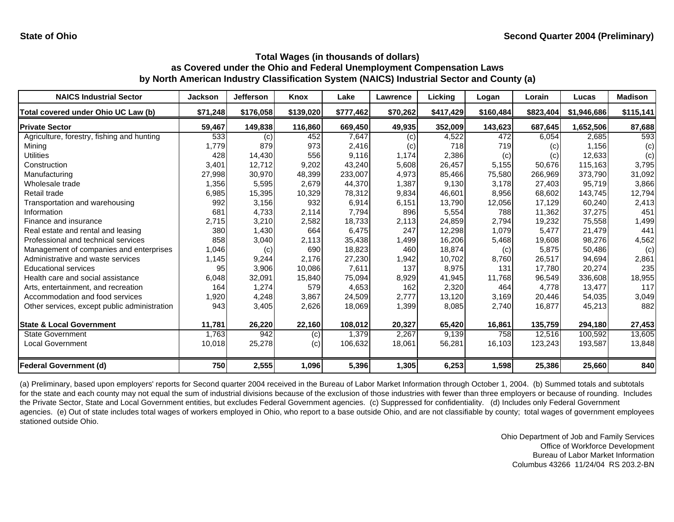| <b>NAICS Industrial Sector</b>               | <b>Jackson</b> | <b>Jefferson</b> | Knox      | Lake      | Lawrence | Licking   | Logan     | Lorain    | Lucas       | <b>Madison</b> |
|----------------------------------------------|----------------|------------------|-----------|-----------|----------|-----------|-----------|-----------|-------------|----------------|
| Total covered under Ohio UC Law (b)          | \$71,248       | \$176,058        | \$139,020 | \$777,462 | \$70,262 | \$417,429 | \$160,484 | \$823,404 | \$1,946,686 | \$115,141      |
| <b>Private Sector</b>                        | 59,467         | 149,838          | 116,860   | 669,450   | 49,935   | 352,009   | 143,623   | 687,645   | 1,652,506   | 87,688         |
| Agriculture, forestry, fishing and hunting   | 533            | (c)              | 452       | 7.647     | (c)      | 4,522     | 472       | 6,054     | 2,685       | 593            |
| Mining                                       | 1,779          | 879              | 973       | 2,416     | (c)      | 718       | 719       | (c)       | 1,156       | (c)            |
| <b>Utilities</b>                             | 428            | 14,430           | 556       | 9,116     | 1,174    | 2,386     | (c)       | (c)       | 12,633      | (c)            |
| Construction                                 | 3,401          | 12,712           | 9,202     | 43,240    | 5,608    | 26,457    | 5,155     | 50,676    | 115,163     | 3,795          |
| Manufacturing                                | 27,998         | 30,970           | 48,399    | 233,007   | 4,973    | 85,466    | 75,580    | 266,969   | 373,790     | 31,092         |
| Wholesale trade                              | 1,356          | 5,595            | 2,679     | 44,370    | 1,387    | 9,130     | 3,178     | 27,403    | 95,719      | 3,866          |
| Retail trade                                 | 6,985          | 15,395           | 10,329    | 78,312    | 9,834    | 46,601    | 8,956     | 68,602    | 143,745     | 12,794         |
| Transportation and warehousing               | 992            | 3,156            | 932       | 6,914     | 6,151    | 13,790    | 12,056    | 17,129    | 60,240      | 2,413          |
| Information                                  | 681            | 4,733            | 2,114     | 7,794     | 896      | 5,554     | 788       | 11,362    | 37,275      | 451            |
| Finance and insurance                        | 2,715          | 3,210            | 2,582     | 18,733    | 2,113    | 24,859    | 2,794     | 19,232    | 75,558      | 1,499          |
| Real estate and rental and leasing           | 380            | 1,430            | 664       | 6,475     | 247      | 12,298    | 1,079     | 5,477     | 21,479      | 441            |
| Professional and technical services          | 858            | 3,040            | 2,113     | 35,438    | 1,499    | 16,206    | 5,468     | 19,608    | 98,276      | 4,562          |
| Management of companies and enterprises      | 1,046          | (c)              | 690       | 18,823    | 460      | 18,874    | (c)       | 5,875     | 50,486      | (c)            |
| Administrative and waste services            | 1,145          | 9,244            | 2.176     | 27,230    | 1,942    | 10,702    | 8,760     | 26,517    | 94,694      | 2,861          |
| <b>Educational services</b>                  | 95             | 3,906            | 10,086    | 7,611     | 137      | 8,975     | 131       | 17,780    | 20,274      | 235            |
| Health care and social assistance            | 6,048          | 32,091           | 15,840    | 75,094    | 8,929    | 41,945    | 11,768    | 96,549    | 336,608     | 18,955         |
| Arts, entertainment, and recreation          | 164            | 1,274            | 579       | 4,653     | 162      | 2,320     | 464       | 4.778     | 13,477      | 117            |
| Accommodation and food services              | 1,920          | 4,248            | 3,867     | 24,509    | 2,777    | 13,120    | 3,169     | 20,446    | 54,035      | 3,049          |
| Other services, except public administration | 943            | 3,405            | 2,626     | 18,069    | 1,399    | 8,085     | 2,740     | 16,877    | 45,213      | 882            |
| <b>State &amp; Local Government</b>          | 11,781         | 26,220           | 22,160    | 108,012   | 20,327   | 65,420    | 16,861    | 135,759   | 294,180     | 27,453         |
| <b>State Government</b>                      | 1,763          | 942              | (c)       | 1,379     | 2,267    | 9,139     | 758       | 12,516    | 100,592     | 13,605         |
| Local Government                             | 10,018         | 25,278           | (c)       | 106,632   | 18,061   | 56,281    | 16,103    | 123,243   | 193,587     | 13,848         |
| <b>Federal Government (d)</b>                | 750            | 2,555            | 1,096     | 5,396     | 1,305    | 6,253     | 1,598     | 25,386    | 25,660      | 840            |

(a) Preliminary, based upon employers' reports for Second quarter 2004 received in the Bureau of Labor Market Information through October 1, 2004. (b) Summed totals and subtotals for the state and each county may not equal the sum of industrial divisions because of the exclusion of those industries with fewer than three employers or because of rounding. Includes the Private Sector, State and Local Government entities, but excludes Federal Government agencies. (c) Suppressed for confidentiality. (d) Includes only Federal Government agencies. (e) Out of state includes total wages of workers employed in Ohio, who report to a base outside Ohio, and are not classifiable by county; total wages of government employees stationed outside Ohio.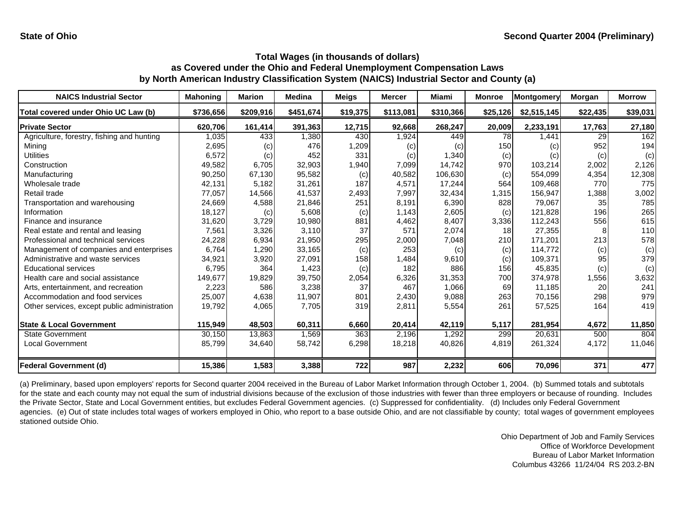| <b>NAICS Industrial Sector</b>               | <b>Mahoning</b> | <b>Marion</b> | <b>Medina</b> | <b>Meigs</b> | <b>Mercer</b> | <b>Miami</b> | <b>Monroe</b> | Montgomery  | Morgan   | <b>Morrow</b> |
|----------------------------------------------|-----------------|---------------|---------------|--------------|---------------|--------------|---------------|-------------|----------|---------------|
| Total covered under Ohio UC Law (b)          | \$736,656       | \$209,916     | \$451,674     | \$19,375     | \$113,081     | \$310,366    | \$25,126      | \$2,515,145 | \$22,435 | \$39,031      |
| <b>Private Sector</b>                        | 620,706         | 161,414       | 391,363       | 12,715       | 92,668        | 268,247      | 20,009        | 2,233,191   | 17,763   | 27,180        |
| Agriculture, forestry, fishing and hunting   | 1,035           | 433           | 1,380         | 430          | 1,924         | 449          | 78            | 1,441       | 29       | 162           |
| Mining                                       | 2,695           | (c)           | 476           | 1,209        | (c)           | (c)          | 150           | (c)         | 952      | 194           |
| <b>Utilities</b>                             | 6,572           | (c)           | 452           | 331          | (c)           | 1,340        | (c)           | (c)         | (c)      | (c)           |
| Construction                                 | 49,582          | 6,705         | 32,903        | 1,940        | 7,099         | 14,742       | 970           | 103,214     | 2,002    | 2,126         |
| Manufacturing                                | 90,250          | 67,130        | 95,582        | (c)          | 40,582        | 106,630      | (c)           | 554,099     | 4,354    | 12,308        |
| Wholesale trade                              | 42,131          | 5,182         | 31,261        | 187          | 4,571         | 17,244       | 564           | 109,468     | 770      | 775           |
| Retail trade                                 | 77,057          | 14,566        | 41,537        | 2,493        | 7,997         | 32,434       | 1,315         | 156,947     | 1,388    | 3,002         |
| Transportation and warehousing               | 24,669          | 4,588         | 21,846        | 251          | 8,191         | 6,390        | 828           | 79,067      | 35       | 785           |
| Information                                  | 18,127          | (c)           | 5,608         | (c)          | 1,143         | 2,605        | (c)           | 121,828     | 196      | 265           |
| Finance and insurance                        | 31,620          | 3,729         | 10,980        | 881          | 4,462         | 8,407        | 3,336         | 112,243     | 556      | 615           |
| Real estate and rental and leasing           | 7,561           | 3,326         | 3,110         | 37           | 571           | 2,074        | 18            | 27,355      | 8        | 110           |
| Professional and technical services          | 24,228          | 6,934         | 21,950        | 295          | 2,000         | 7,048        | 210           | 171,201     | 213      | 578           |
| Management of companies and enterprises      | 6,764           | 1,290         | 33,165        | (c)          | 253           | (c)          | (c)           | 114,772     | (c)      | (c)           |
| Administrative and waste services            | 34,921          | 3,920         | 27,091        | 158          | 1,484         | 9,610        | (c)           | 109,371     | 95       | 379           |
| <b>Educational services</b>                  | 6,795           | 364           | 1,423         | (c)          | 182           | 886          | 156           | 45,835      | (c)      | (c)           |
| Health care and social assistance            | 149,677         | 19,829        | 39,750        | 2,054        | 6,326         | 31,353       | 700           | 374,978     | 1,556    | 3,632         |
| Arts, entertainment, and recreation          | 2,223           | 586           | 3,238         | 37           | 467           | 1,066        | 69            | 11,185      | 20       | 241           |
| Accommodation and food services              | 25,007          | 4,638         | 11,907        | 801          | 2,430         | 9,088        | 263           | 70,156      | 298      | 979           |
| Other services, except public administration | 19,792          | 4,065         | 7,705         | 319          | 2,811         | 5,554        | 261           | 57,525      | 164      | 419           |
| <b>State &amp; Local Government</b>          | 115,949         | 48,503        | 60,311        | 6,660        | 20,414        | 42,119       | 5,117         | 281,954     | 4,672    | 11,850        |
| <b>State Government</b>                      | 30,150          | 13,863        | 1,569         | 363          | 2,196         | 1,292        | 299           | 20,631      | 500      | 804           |
| <b>Local Government</b>                      | 85,799          | 34,640        | 58,742        | 6,298        | 18,218        | 40,826       | 4,819         | 261,324     | 4,172    | 11,046        |
| <b>Federal Government (d)</b>                | 15,386          | 1,583         | 3,388         | 722          | 987           | 2,232        | 606           | 70,096      | 371      | 477           |

(a) Preliminary, based upon employers' reports for Second quarter 2004 received in the Bureau of Labor Market Information through October 1, 2004. (b) Summed totals and subtotals for the state and each county may not equal the sum of industrial divisions because of the exclusion of those industries with fewer than three employers or because of rounding. Includes the Private Sector, State and Local Government entities, but excludes Federal Government agencies. (c) Suppressed for confidentiality. (d) Includes only Federal Government agencies. (e) Out of state includes total wages of workers employed in Ohio, who report to a base outside Ohio, and are not classifiable by county; total wages of government employees stationed outside Ohio.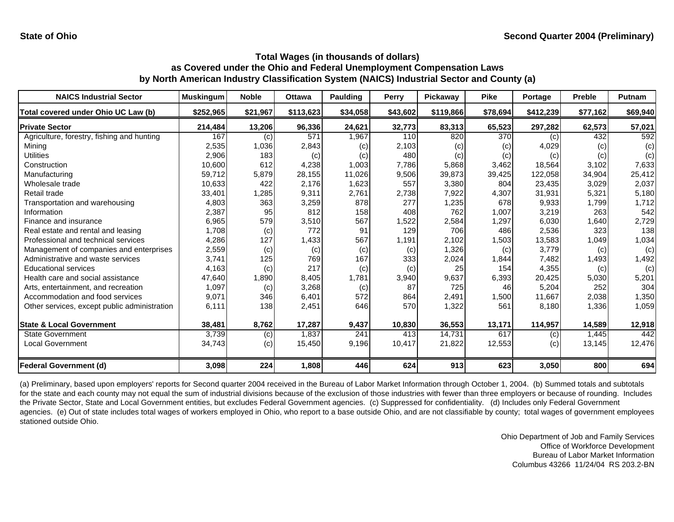| <b>NAICS Industrial Sector</b>               | <b>Muskingum</b> | <b>Noble</b> | <b>Ottawa</b> | <b>Paulding</b> | <b>Perry</b> | <b>Pickawav</b> | <b>Pike</b> | Portage   | <b>Preble</b> | Putnam   |
|----------------------------------------------|------------------|--------------|---------------|-----------------|--------------|-----------------|-------------|-----------|---------------|----------|
| Total covered under Ohio UC Law (b)          | \$252,965        | \$21,967     | \$113,623     | \$34,058        | \$43,602     | \$119,866       | \$78,694    | \$412,239 | \$77,162      | \$69,940 |
| <b>Private Sector</b>                        | 214,484          | 13,206       | 96,336        | 24,621          | 32,773       | 83,313          | 65,523      | 297,282   | 62,573        | 57,021   |
| Agriculture, forestry, fishing and hunting   | 167              | (c)          | 571           | 1,967           | 110          | 820             | 370         | (c)       | 432           | 592      |
| Mining                                       | 2,535            | 1,036        | 2,843         | (c)             | 2,103        | (c)             | (c)         | 4,029     | (c)           | (c)      |
| Utilities                                    | 2,906            | 183          | (c)           | (c)             | 480          | (c)             | (c)         | (c)       | (c)           | (c)      |
| Construction                                 | 10,600           | 612          | 4,238         | 1,003           | 7,786        | 5,868           | 3,462       | 18,564    | 3,102         | 7,633    |
| Manufacturing                                | 59,712           | 5,879        | 28,155        | 11,026          | 9,506        | 39,873          | 39,425      | 122,058   | 34,904        | 25,412   |
| Wholesale trade                              | 10,633           | 422          | 2,176         | 1,623           | 557          | 3,380           | 804         | 23,435    | 3,029         | 2,037    |
| Retail trade                                 | 33,401           | 1,285        | 9,311         | 2,761           | 2,738        | 7,922           | 4,307       | 31,931    | 5,321         | 5,180    |
| Transportation and warehousing               | 4,803            | 363          | 3,259         | 878             | 277          | 1,235           | 678         | 9,933     | 1,799         | 1,712    |
| Information                                  | 2,387            | 95           | 812           | 158             | 408          | 762             | 1,007       | 3,219     | 263           | 542      |
| Finance and insurance                        | 6,965            | 579          | 3,510         | 567             | 1,522        | 2,584           | 1,297       | 6,030     | 1,640         | 2,729    |
| Real estate and rental and leasing           | 1,708            | (c)          | 772           | 91              | 129          | 706             | 486         | 2,536     | 323           | 138      |
| Professional and technical services          | 4,286            | 127          | 1,433         | 567             | 1,191        | 2,102           | 1,503       | 13,583    | 1,049         | 1,034    |
| Management of companies and enterprises      | 2,559            | (c)          | (c)           | (c)             | (c)          | 1,326           | (c)         | 3,779     | (c)           | (c)      |
| Administrative and waste services            | 3,741            | 125          | 769           | 167             | 333          | 2,024           | 1,844       | 7,482     | 1,493         | 1,492    |
| <b>Educational services</b>                  | 4,163            | (c)          | 217           | (c)             | (c)          | 25              | 154         | 4,355     | (c)           | (c)      |
| Health care and social assistance            | 47,640           | 1,890        | 8,405         | 1,781           | 3,940        | 9,637           | 6,393       | 20,425    | 5,030         | 5,201    |
| Arts, entertainment, and recreation          | 1,097            | (c)          | 3,268         | (c)             | 87           | 725             | 46          | 5,204     | 252           | 304      |
| Accommodation and food services              | 9,071            | 346          | 6,401         | 572             | 864          | 2,491           | 1,500       | 11,667    | 2,038         | 1,350    |
| Other services, except public administration | 6,111            | 138          | 2,451         | 646             | 570          | 1,322           | 561         | 8,180     | 1,336         | 1,059    |
| <b>State &amp; Local Government</b>          | 38,481           | 8,762        | 17,287        | 9,437           | 10,830       | 36,553          | 13,171      | 114,957   | 14,589        | 12,918   |
| <b>State Government</b>                      | 3,739            | (c)          | 1,837         | 241             | 413          | 14,731          | 617         | (c)       | 1,445         | 442      |
| <b>Local Government</b>                      | 34,743           | (c)          | 15,450        | 9,196           | 10,417       | 21,822          | 12,553      | (c)       | 13,145        | 12,476   |
| <b>Federal Government (d)</b>                | 3,098            | 224          | 1,808         | 446             | 624          | 913             | 623         | 3,050     | 800           | 694      |

(a) Preliminary, based upon employers' reports for Second quarter 2004 received in the Bureau of Labor Market Information through October 1, 2004. (b) Summed totals and subtotals for the state and each county may not equal the sum of industrial divisions because of the exclusion of those industries with fewer than three employers or because of rounding. Includes the Private Sector, State and Local Government entities, but excludes Federal Government agencies. (c) Suppressed for confidentiality. (d) Includes only Federal Government agencies. (e) Out of state includes total wages of workers employed in Ohio, who report to a base outside Ohio, and are not classifiable by county; total wages of government employees stationed outside Ohio.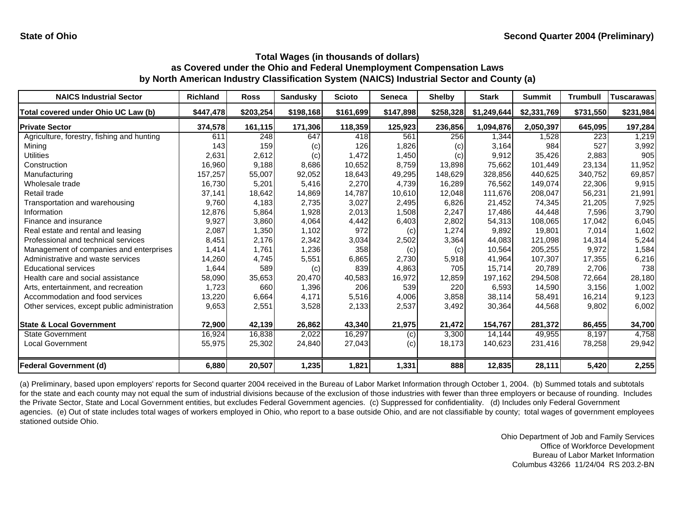| <b>NAICS Industrial Sector</b>               | <b>Richland</b> | <b>Ross</b> | <b>Sandusky</b> | <b>Scioto</b> | Seneca    | <b>Shelby</b> | <b>Stark</b> | <b>Summit</b> | <b>Trumbull</b> | <b>Tuscarawas</b> |
|----------------------------------------------|-----------------|-------------|-----------------|---------------|-----------|---------------|--------------|---------------|-----------------|-------------------|
| Total covered under Ohio UC Law (b)          | \$447,478       | \$203,254   | \$198,168       | \$161,699     | \$147,898 | \$258,328     | \$1,249,644  | \$2,331,769   | \$731,550       | \$231,984         |
| <b>Private Sector</b>                        | 374,578         | 161,115     | 171,306         | 118,359       | 125,923   | 236,856       | 1,094,876    | 2,050,397     | 645,095         | 197,284           |
| Agriculture, forestry, fishing and hunting   | 611             | 248         | 647             | 418           | 561       | 256           | 1,344        | 1,528         | 223             | 1,219             |
| Mining                                       | 143             | 159         | (c)             | 126           | 1,826     | (c)           | 3,164        | 984           | 527             | 3,992             |
| Utilities                                    | 2,631           | 2,612       | (c)             | 1,472         | 1,450     | (c)           | 9,912        | 35,426        | 2,883           | 905               |
| Construction                                 | 16,960          | 9,188       | 8,686           | 10,652        | 8,759     | 13,898        | 75,662       | 101,449       | 23,134          | 11,952            |
| Manufacturing                                | 157,257         | 55,007      | 92,052          | 18,643        | 49,295    | 148,629       | 328,856      | 440,625       | 340.752         | 69,857            |
| Wholesale trade                              | 16,730          | 5,201       | 5,416           | 2,270         | 4,739     | 16,289        | 76,562       | 149.074       | 22,306          | 9,915             |
| Retail trade                                 | 37,141          | 18,642      | 14,869          | 14,787        | 10,610    | 12,048        | 111,676      | 208,047       | 56,231          | 21,991            |
| Transportation and warehousing               | 9,760           | 4,183       | 2,735           | 3,027         | 2,495     | 6,826         | 21,452       | 74,345        | 21,205          | 7,925             |
| Information                                  | 12,876          | 5,864       | 1,928           | 2,013         | 1,508     | 2,247         | 17,486       | 44,448        | 7,596           | 3,790             |
| Finance and insurance                        | 9,927           | 3,860       | 4,064           | 4,442         | 6,403     | 2,802         | 54,313       | 108,065       | 17,042          | 6,045             |
| Real estate and rental and leasing           | 2,087           | 1,350       | 1,102           | 972           | (c)       | 1,274         | 9,892        | 19,801        | 7,014           | 1,602             |
| Professional and technical services          | 8,451           | 2,176       | 2,342           | 3,034         | 2,502     | 3,364         | 44,083       | 121,098       | 14,314          | 5,244             |
| Management of companies and enterprises      | 1,414           | 1,761       | 1,236           | 358           | (c)       | (c)           | 10,564       | 205,255       | 9,972           | 1,584             |
| Administrative and waste services            | 14,260          | 4,745       | 5,551           | 6,865         | 2,730     | 5,918         | 41,964       | 107,307       | 17,355          | 6,216             |
| <b>Educational services</b>                  | 1,644           | 589         | (c)             | 839           | 4,863     | 705           | 15,714       | 20.789        | 2.706           | 738               |
| Health care and social assistance            | 58,090          | 35,653      | 20,470          | 40,583        | 16,972    | 12,859        | 197,162      | 294,508       | 72,664          | 28,180            |
| Arts, entertainment, and recreation          | 1,723           | 660         | 1,396           | 206           | 539       | 220           | 6,593        | 14,590        | 3,156           | 1,002             |
| Accommodation and food services              | 13,220          | 6,664       | 4,171           | 5,516         | 4,006     | 3,858         | 38,114       | 58,491        | 16,214          | 9,123             |
| Other services, except public administration | 9,653           | 2,551       | 3,528           | 2,133         | 2,537     | 3,492         | 30,364       | 44,568        | 9,802           | 6,002             |
| <b>State &amp; Local Government</b>          | 72,900          | 42,139      | 26,862          | 43,340        | 21,975    | 21,472        | 154,767      | 281,372       | 86,455          | 34,700            |
| <b>State Government</b>                      | 16,924          | 16,838      | 2,022           | 16,297        | (c)       | 3,300         | 14,144       | 49,955        | 8,197           | 4,758             |
| <b>Local Government</b>                      | 55,975          | 25,302      | 24,840          | 27,043        | (c)       | 18,173        | 140,623      | 231,416       | 78,258          | 29,942            |
| <b>Federal Government (d)</b>                | 6,880           | 20,507      | 1,235           | 1,821         | 1,331     | 888           | 12,835       | 28,111        | 5,420           | 2,255             |

(a) Preliminary, based upon employers' reports for Second quarter 2004 received in the Bureau of Labor Market Information through October 1, 2004. (b) Summed totals and subtotals for the state and each county may not equal the sum of industrial divisions because of the exclusion of those industries with fewer than three employers or because of rounding. Includes the Private Sector, State and Local Government entities, but excludes Federal Government agencies. (c) Suppressed for confidentiality. (d) Includes only Federal Government agencies. (e) Out of state includes total wages of workers employed in Ohio, who report to a base outside Ohio, and are not classifiable by county; total wages of government employees stationed outside Ohio.